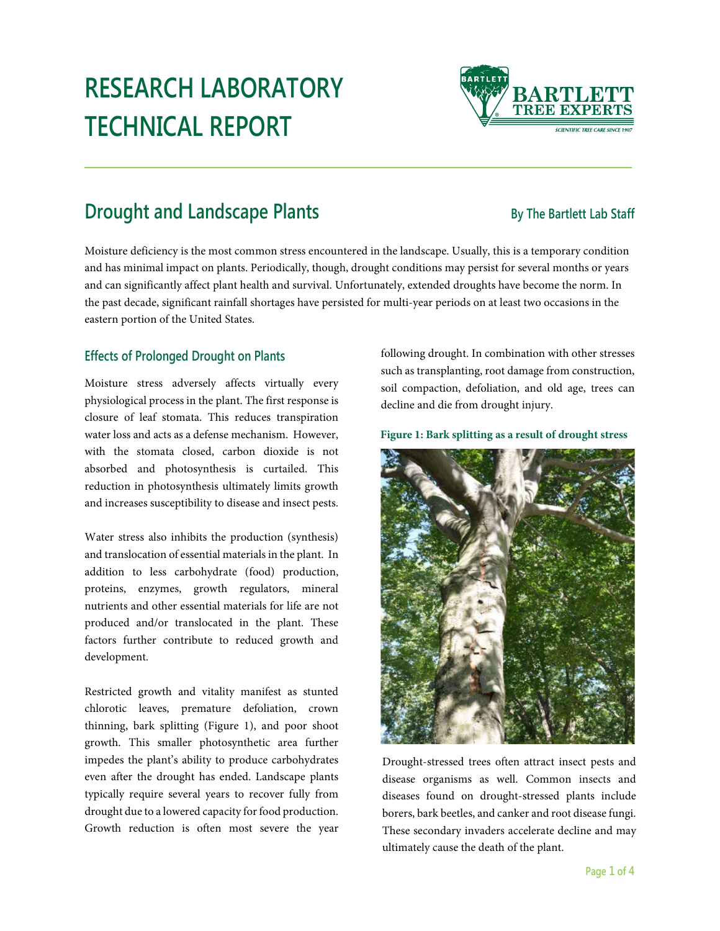# **RESEARCH LABORATORY TECHNICAL REPORT**

## **Drought and Landscape Plants By The Bartlett Lab Staff**

Moisture deficiency is the most common stress encountered in the landscape. Usually, this is a temporary condition and has minimal impact on plants. Periodically, though, drought conditions may persist for several months or years and can significantly affect plant health and survival. Unfortunately, extended droughts have become the norm. In the past decade, significant rainfall shortages have persisted for multi-year periods on at least two occasions in the eastern portion of the United States.

### **Effects of Prolonged Drought on Plants**

Moisture stress adversely affects virtually every physiological process in the plant. The first response is closure of leaf stomata. This reduces transpiration water loss and acts as a defense mechanism. However, with the stomata closed, carbon dioxide is not absorbed and photosynthesis is curtailed. This reduction in photosynthesis ultimately limits growth and increases susceptibility to disease and insect pests.

Water stress also inhibits the production (synthesis) and translocation of essential materials in the plant. In addition to less carbohydrate (food) production, proteins, enzymes, growth regulators, mineral nutrients and other essential materials for life are not produced and/or translocated in the plant. These factors further contribute to reduced growth and development.

Restricted growth and vitality manifest as stunted chlorotic leaves, premature defoliation, crown thinning, bark splitting (Figure 1), and poor shoot growth. This smaller photosynthetic area further impedes the plant's ability to produce carbohydrates even after the drought has ended. Landscape plants typically require several years to recover fully from drought due to a lowered capacity for food production. Growth reduction is often most severe the year following drought. In combination with other stresses such as transplanting, root damage from construction, soil compaction, defoliation, and old age, trees can decline and die from drought injury.

#### **Figure 1: Bark splitting as a result of drought stress**

Drought-stressed trees often attract insect pests and disease organisms as well. Common insects and diseases found on drought-stressed plants include borers, bark beetles, and canker and root disease fungi. These secondary invaders accelerate decline and may ultimately cause the death of the plant.



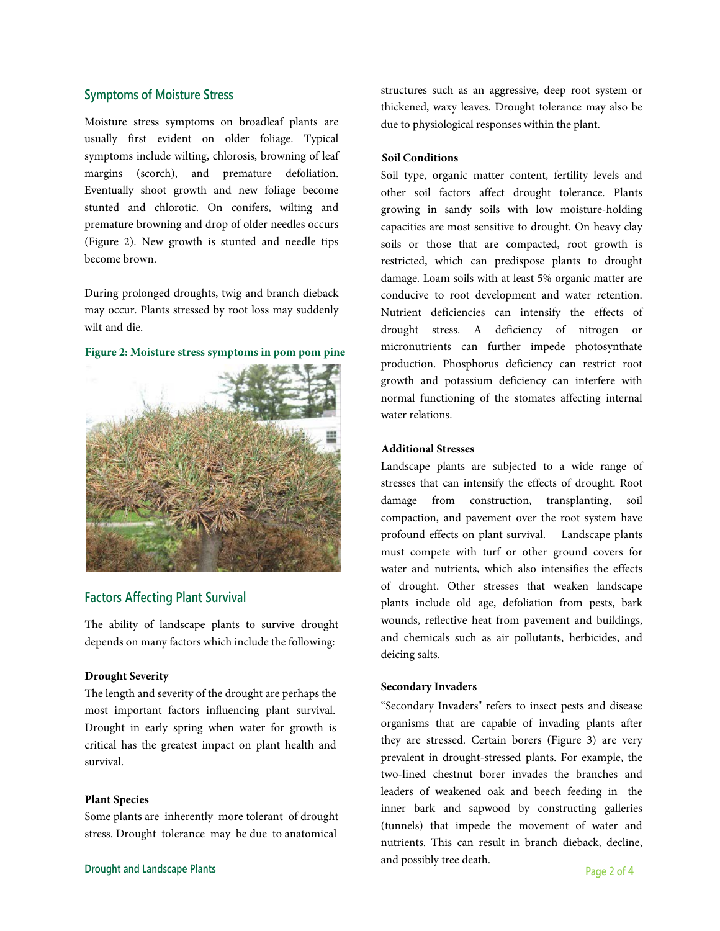#### **Symptoms of Moisture Stress**

Moisture stress symptoms on broadleaf plants are usually first evident on older foliage. Typical symptoms include wilting, chlorosis, browning of leaf margins (scorch), and premature defoliation. Eventually shoot growth and new foliage become stunted and chlorotic. On conifers, wilting and premature browning and drop of older needles occurs (Figure 2). New growth is stunted and needle tips become brown.

During prolonged droughts, twig and branch dieback may occur. Plants stressed by root loss may suddenly wilt and die.



**Figure 2: Moisture stress symptoms in pom pom pine**

#### **Factors Affecting Plant Survival**

The ability of landscape plants to survive drought depends on many factors which include the following:

#### **Drought Severity**

The length and severity of the drought are perhaps the most important factors influencing plant survival. Drought in early spring when water for growth is critical has the greatest impact on plant health and survival.

#### **Plant Species**

Some plants are inherently more tolerant of drought stress. Drought tolerance may be due to anatomical

structures such as an aggressive, deep root system or thickened, waxy leaves. Drought tolerance may also be due to physiological responses within the plant.

#### **Soil Conditions**

Soil type, organic matter content, fertility levels and other soil factors affect drought tolerance. Plants growing in sandy soils with low moisture-holding capacities are most sensitive to drought. On heavy clay soils or those that are compacted, root growth is restricted, which can predispose plants to drought damage. Loam soils with at least 5% organic matter are conducive to root development and water retention. Nutrient deficiencies can intensify the effects of drought stress. A deficiency of nitrogen or micronutrients can further impede photosynthate production. Phosphorus deficiency can restrict root growth and potassium deficiency can interfere with normal functioning of the stomates affecting internal water relations.

#### **Additional Stresses**

Landscape plants are subjected to a wide range of stresses that can intensify the effects of drought. Root damage from construction, transplanting, soil compaction, and pavement over the root system have profound effects on plant survival. Landscape plants must compete with turf or other ground covers for water and nutrients, which also intensifies the effects of drought. Other stresses that weaken landscape plants include old age, defoliation from pests, bark wounds, reflective heat from pavement and buildings, and chemicals such as air pollutants, herbicides, and deicing salts.

#### **Secondary Invaders**

"Secondary Invaders" refers to insect pests and disease organisms that are capable of invading plants after they are stressed. Certain borers (Figure 3) are very prevalent in drought-stressed plants. For example, the two-lined chestnut borer invades the branches and leaders of weakened oak and beech feeding in the inner bark and sapwood by constructing galleries (tunnels) that impede the movement of water and nutrients. This can result in branch dieback, decline, and possibly tree death.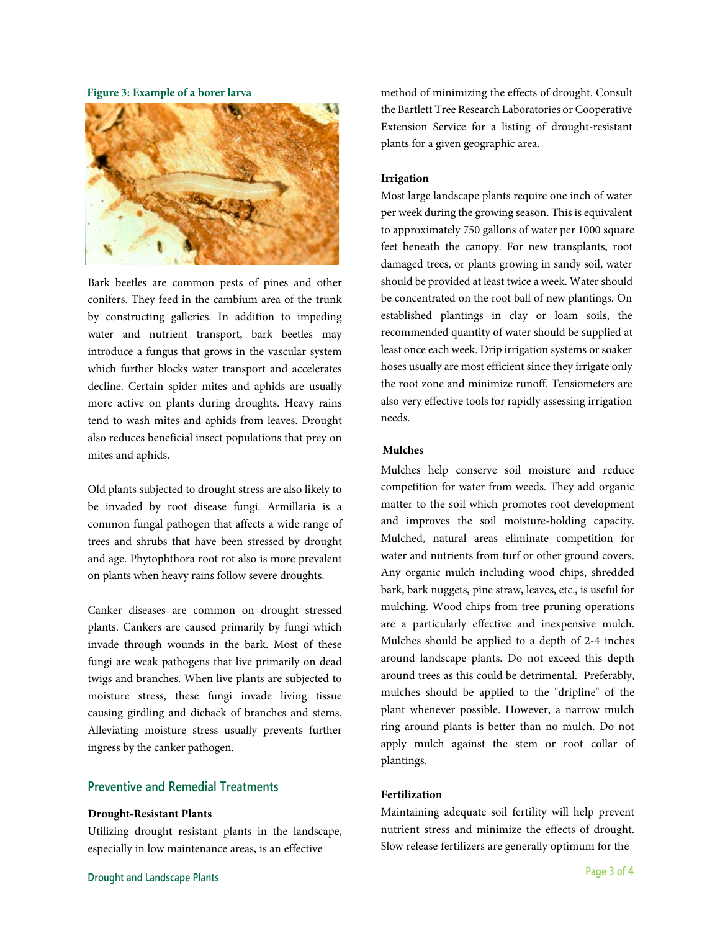**Figure 3: Example of a borer larva**



Bark beetles are common pests of pines and other conifers. They feed in the cambium area of the trunk by constructing galleries. In addition to impeding water and nutrient transport, bark beetles may introduce a fungus that grows in the vascular system which further blocks water transport and accelerates decline. Certain spider mites and aphids are usually more active on plants during droughts. Heavy rains tend to wash mites and aphids from leaves. Drought also reduces beneficial insect populations that prey on mites and aphids.

Old plants subjected to drought stress are also likely to be invaded by root disease fungi. Armillaria is a common fungal pathogen that affects a wide range of trees and shrubs that have been stressed by drought and age. Phytophthora root rot also is more prevalent on plants when heavy rains follow severe droughts.

Canker diseases are common on drought stressed plants. Cankers are caused primarily by fungi which invade through wounds in the bark. Most of these fungi are weak pathogens that live primarily on dead twigs and branches. When live plants are subjected to moisture stress, these fungi invade living tissue causing girdling and dieback of branches and stems. Alleviating moisture stress usually prevents further ingress by the canker pathogen.

#### **Preventive and Remedial Treatments**

#### **Drought-Resistant Plants**

Utilizing drought resistant plants in the landscape, especially in low maintenance areas, is an effective

method of minimizing the effects of drought. Consult the Bartlett Tree Research Laboratories or Cooperative Extension Service for a listing of drought-resistant plants for a given geographic area.

#### **Irrigation**

Most large landscape plants require one inch of water per week during the growing season. This is equivalent to approximately 750 gallons of water per 1000 square feet beneath the canopy. For new transplants, root damaged trees, or plants growing in sandy soil, water should be provided at least twice a week. Water should be concentrated on the root ball of new plantings. On established plantings in clay or loam soils, the recommended quantity of water should be supplied at least once each week. Drip irrigation systems or soaker hoses usually are most efficient since they irrigate only the root zone and minimize runoff. Tensiometers are also very effective tools for rapidly assessing irrigation needs.

#### **Mulches**

Mulches help conserve soil moisture and reduce competition for water from weeds. They add organic matter to the soil which promotes root development and improves the soil moisture-holding capacity. Mulched, natural areas eliminate competition for water and nutrients from turf or other ground covers. Any organic mulch including wood chips, shredded bark, bark nuggets, pine straw, leaves, etc., is useful for mulching. Wood chips from tree pruning operations are a particularly effective and inexpensive mulch. Mulches should be applied to a depth of 2-4 inches around landscape plants. Do not exceed this depth around trees as this could be detrimental. Preferably, mulches should be applied to the "dripline" of the plant whenever possible. However, a narrow mulch ring around plants is better than no mulch. Do not apply mulch against the stem or root collar of plantings.

#### **Fertilization**

Maintaining adequate soil fertility will help prevent nutrient stress and minimize the effects of drought. Slow release fertilizers are generally optimum for the